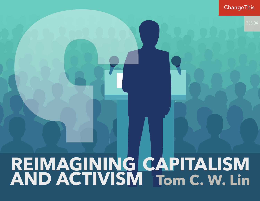#### **ChangeThis**

208.04

# **REIMAGINING CAPITALISM AND ACTIVISM Tom C. W. Lin**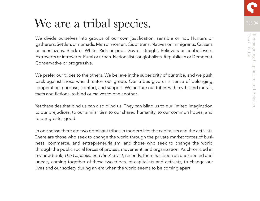# We are a tribal species.

We divide ourselves into groups of our own justification, sensible or not. Hunters or gatherers. Settlers or nomads. Men or women. Cis or trans. Natives or immigrants. Citizens or noncitizens. Black or White. Rich or poor. Gay or straight. Believers or nonbelievers. Extroverts or introverts. Rural or urban. Nationalists or globalists. Republican or Democrat. Conservative or progressive.

We prefer our tribes to the others. We believe in the superiority of our tribe, and we push back against those who threaten our group. Our tribes give us a sense of belonging, cooperation, purpose, comfort, and support. We nurture our tribes with myths and morals, facts and fictions, to bind ourselves to one another.

Yet these ties that bind us can also blind us. They can blind us to our limited imagination, to our prejudices, to our similarities, to our shared humanity, to our common hopes, and to our greater good.

In one sense there are two dominant tribes in modern life: the capitalists and the activists. There are those who seek to change the world through the private market forces of business, commerce, and entrepreneurialism, and those who seek to change the world through the public social forces of protest, movement, and organization. As chronicled in my new book, *The Capitalist and the Activist*, recently, there has been an unexpected and uneasy coming together of these two tribes, of capitalists and activists, to change our lives and our society during an era when the world seems to be coming apart.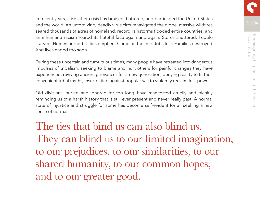In recent years, crisis after crisis has bruised, battered, and barricaded the United States and the world. An unforgiving, deadly virus circumnavigated the globe, massive wildfires seared thousands of acres of homeland, record rainstorms flooded entire countries, and an inhumane racism reared its hateful face again and again. Stores shuttered. People starved. Homes burned. Cities emptied. Crime on the rise. Jobs lost. Families destroyed. And lives ended too soon.

During these uncertain and tumultuous times, many people have retreated into dangerous impulses of tribalism, seeking to blame and hurt others for painful changes they have experienced, reviving ancient grievances for a new generation, denying reality to fit their convenient tribal myths, insurrecting against popular will to violently reclaim lost power.

Old divisions—buried and ignored for too long—have manifested cruelly and bleakly, reminding us of a harsh history that is still ever present and never really past. A normal state of injustice and struggle for some has become self-evident for all seeking a new sense of normal.

The ties that bind us can also blind us. They can blind us to our limited imagination, to our prejudices, to our similarities, to our shared humanity, to our common hopes, and to our greater good.

208.04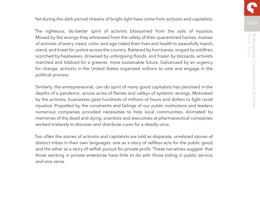208.04 Yet during this dark period streams of bright light have come from activists and capitalists.

The righteous, do-better spirit of activists blossomed from the soils of injustice. Moved by the wrongs they witnessed from the safety of their quarantined homes, masses of activists of every creed, color, and age risked their lives and health to peacefully march, stand, and kneel for justice across the country. Battered by hurricanes, singed by wildfires, scorched by heatwaves, drowned by unforgiving floods, and frozen by blizzards, activists marched and lobbied for a greener, more sustainable future. Galvanized by an urgency for change, activists in the United States organized millions to vote and engage in the political process.

Similarly, the entrepreneurial, can-do spirit of many good capitalists has persisted in the depths of a pandemic, across acres of flames and valleys of systemic wrongs. Motivated by the activists, businesses gave hundreds of millions of hours and dollars to fight racial injustice. Propelled by the constraints and failings of our public institutions and leaders, numerous companies provided necessities to help local communities. Animated by memories of the dead and dying, scientists and executives at pharmaceutical companies worked tirelessly to discover and distribute cures for a deadly virus.

Too often the stories of activists and capitalists are told as disparate, unrelated stories of distinct tribes in their own languages: one as a story of selfless acts for the public good, and the other as a story of selfish pursuit for private profit. These narratives suggest that those working in private enterprise have little to do with those toiling in public service, and vice versa.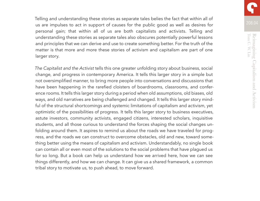Telling and understanding these stories as separate tales belies the fact that within all of us are impulses to act in support of causes for the public good as well as desires for personal gain; that within all of us are both capitalists and activists. Telling and understanding these stories as separate tales also obscures potentially powerful lessons and principles that we can derive and use to create something better. For the truth of the matter is that more and more these stories of activism and capitalism are part of one larger story.

*The Capitalist and the Activist* tells this one greater unfolding story about business, social change, and progress in contemporary America. It tells this larger story in a simple but not oversimplified manner, to bring more people into conversations and discussions that have been happening in the rarefied cloisters of boardrooms, classrooms, and conference rooms. It tells this larger story during a period when old assumptions, old biases, old ways, and old narratives are being challenged and changed. It tells this larger story mindful of the structural shortcomings and systemic limitations of capitalism and activism, yet optimistic of the possibilities of progress. It tells this larger story to business executives, astute investors, community activists, engaged citizens, interested scholars, inquisitive students, and all those curious to understand the forces shaping the social changes unfolding around them. It aspires to remind us about the roads we have traveled for progress, and the roads we can construct to overcome obstacles, old and new, toward something better using the means of capitalism and activism. Understandably, no single book can contain all or even most of the solutions to the social problems that have plagued us for so long. But a book can help us understand how we arrived here, how we can see things differently, and how we can change. It can give us a shared framework, a common tribal story to motivate us, to push ahead, to move forward.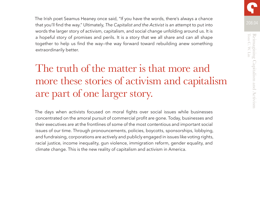The Irish poet Seamus Heaney once said, "If you have the words, there's always a chance that you'll find the way." Ultimately, *The Capitalist and the Activist* is an attempt to put into words the larger story of activism, capitalism, and social change unfolding around us. It is a hopeful story of promises and perils. It is a story that we all share and can all shape together to help us find the way—the way forward toward rebuilding anew something extraordinarily better.

## The truth of the matter is that more and more these stories of activism and capitalism are part of one larger story.

The days when activists focused on moral fights over social issues while businesses concentrated on the amoral pursuit of commercial profit are gone. Today, businesses and their executives are at the frontlines of some of the most contentious and important social issues of our time. Through pronouncements, policies, boycotts, sponsorships, lobbying, and fundraising, corporations are actively and publicly engaged in issues like voting rights, racial justice, income inequality, gun violence, immigration reform, gender equality, and climate change. This is the new reality of capitalism and activism in America.

208.04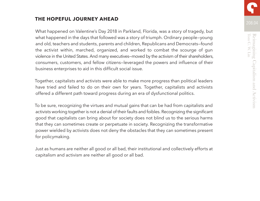#### **THE HOPEFUL JOURNEY AHEAD**

What happened on Valentine's Day 2018 in Parkland, Florida, was a story of tragedy, but what happened in the days that followed was a story of triumph. Ordinary people—young and old, teachers and students, parents and children, Republicans and Democrats—found the activist within, marched, organized, and worked to combat the scourge of gun violence in the United States. And many executives—moved by the activism of their shareholders, consumers, customers, and fellow citizens—leveraged the powers and influence of their business enterprises to aid in this difficult social issue.

Together, capitalists and activists were able to make more progress than political leaders have tried and failed to do on their own for years. Together, capitalists and activists offered a different path toward progress during an era of dysfunctional politics.

To be sure, recognizing the virtues and mutual gains that can be had from capitalists and activists working together is not a denial of their faults and foibles. Recognizing the significant good that capitalists can bring about for society does not blind us to the serious harms that they can sometimes create or perpetuate in society. Recognizing the transformative power wielded by activists does not deny the obstacles that they can sometimes present for policymaking.

Just as humans are neither all good or all bad, their institutional and collectively efforts at capitalism and activism are neither all good or all bad.

208.04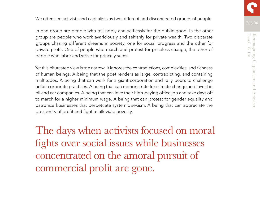We often see activists and capitalists as two different and disconnected groups of people.

In one group are people who toil nobly and selflessly for the public good. In the other group are people who work avariciously and selfishly for private wealth. Two disparate groups chasing different dreams in society, one for social progress and the other for private profit. One of people who march and protest for priceless change, the other of people who labor and strive for princely sums.

Yet this bifurcated view is too narrow; it ignores the contradictions, complexities, and richness of human beings. A being that the poet renders as large, contradicting, and containing multitudes. A being that can work for a giant corporation and rally peers to challenge unfair corporate practices. A being that can demonstrate for climate change and invest in oil and car companies. A being that can love their high-paying office job and take days off to march for a higher minimum wage. A being that can protest for gender equality and patronize businesses that perpetuate systemic sexism. A being that can appreciate the prosperity of profit and fight to alleviate poverty.

The days when activists focused on moral fights over social issues while businesses concentrated on the amoral pursuit of commercial profit are gone.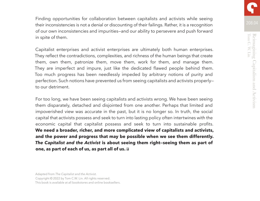Reimagining Capitalism and Activism<br>Tom C. W. Lin Tom C. W. Lin Reimagining Capitalism and Activism

208.04

Finding opportunities for collaboration between capitalists and activists while seeing their inconsistencies is not a denial or discounting of their failings. Rather, it is a recognition of our own inconsistencies and impurities—and our ability to persevere and push forward in spite of them.

Capitalist enterprises and activist enterprises are ultimately both human enterprises. They reflect the contradictions, complexities, and richness of the human beings that create them, own them, patronize them, move them, work for them, and manage them. They are imperfect and impure, just like the dedicated flawed people behind them. Too much progress has been needlessly impeded by arbitrary notions of purity and perfection. Such notions have prevented us from seeing capitalists and activists properly to our detriment.

For too long, we have been seeing capitalists and activists wrong. We have been seeing them disparately, detached and disjointed from one another. Perhaps that limited and impoverished view was accurate in the past, but it is no longer so. In truth, the social capital that activists possess and seek to turn into lasting policy often intertwines with the economic capital that capitalist possess and seek to turn into sustainable profits. **We need a broader, richer, and more complicated view of capitalists and activists, and the power and progress that may be possible when we see them differently.**  *The Capitalist and the Activist* **is about seeing them right—seeing them as part of one, as part of each of us, as part all of us.**

Adapted from *The Capitalist and the Activist.* 

Copyright © 2022 by Tom C.W. Lin. All rights reserved.

This book is available at all bookstores and online booksellers.